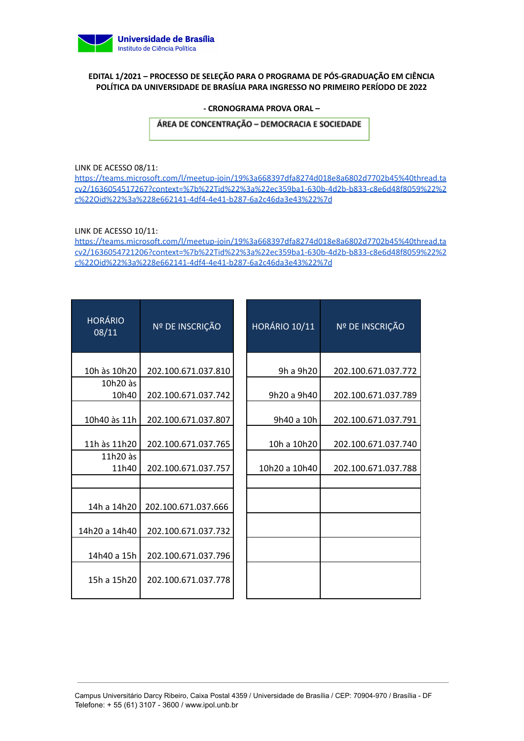

### **EDITAL 1/2021 – PROCESSO DE SELEÇÃO PARA O PROGRAMA DE PÓS-GRADUAÇÃO EM CIÊNCIA POLÍTICA DA UNIVERSIDADE DE BRASÍLIA PARA INGRESSO NO PRIMEIRO PERÍODO DE 2022**

#### **- CRONOGRAMA PROVA ORAL –**

ÁREA DE CONCENTRAÇÃO - DEMOCRACIA E SOCIEDADE

LINK DE ACESSO 08/11:

[https://teams.microsoft.com/l/meetup-join/19%3a668397dfa8274d018e8a6802d7702b45%40thread.ta](https://teams.microsoft.com/l/meetup-join/19%3a668397dfa8274d018e8a6802d7702b45%40thread.tacv2/1636054517267?context=%7b%22Tid%22%3a%22ec359ba1-630b-4d2b-b833-c8e6d48f8059%22%2c%22Oid%22%3a%228e662141-4df4-4e41-b287-6a2c46da3e43%22%7d) [cv2/1636054517267?context=%7b%22Tid%22%3a%22ec359ba1-630b-4d2b-b833-c8e6d48f8059%22%2](https://teams.microsoft.com/l/meetup-join/19%3a668397dfa8274d018e8a6802d7702b45%40thread.tacv2/1636054517267?context=%7b%22Tid%22%3a%22ec359ba1-630b-4d2b-b833-c8e6d48f8059%22%2c%22Oid%22%3a%228e662141-4df4-4e41-b287-6a2c46da3e43%22%7d) [c%22Oid%22%3a%228e662141-4df4-4e41-b287-6a2c46da3e43%22%7d](https://teams.microsoft.com/l/meetup-join/19%3a668397dfa8274d018e8a6802d7702b45%40thread.tacv2/1636054517267?context=%7b%22Tid%22%3a%22ec359ba1-630b-4d2b-b833-c8e6d48f8059%22%2c%22Oid%22%3a%228e662141-4df4-4e41-b287-6a2c46da3e43%22%7d)

LINK DE ACESSO 10/11:

[https://teams.microsoft.com/l/meetup-join/19%3a668397dfa8274d018e8a6802d7702b45%40thread.ta](https://teams.microsoft.com/l/meetup-join/19%3a668397dfa8274d018e8a6802d7702b45%40thread.tacv2/1636054721206?context=%7b%22Tid%22%3a%22ec359ba1-630b-4d2b-b833-c8e6d48f8059%22%2c%22Oid%22%3a%228e662141-4df4-4e41-b287-6a2c46da3e43%22%7d) [cv2/1636054721206?context=%7b%22Tid%22%3a%22ec359ba1-630b-4d2b-b833-c8e6d48f8059%22%2](https://teams.microsoft.com/l/meetup-join/19%3a668397dfa8274d018e8a6802d7702b45%40thread.tacv2/1636054721206?context=%7b%22Tid%22%3a%22ec359ba1-630b-4d2b-b833-c8e6d48f8059%22%2c%22Oid%22%3a%228e662141-4df4-4e41-b287-6a2c46da3e43%22%7d) [c%22Oid%22%3a%228e662141-4df4-4e41-b287-6a2c46da3e43%22%7d](https://teams.microsoft.com/l/meetup-join/19%3a668397dfa8274d018e8a6802d7702b45%40thread.tacv2/1636054721206?context=%7b%22Tid%22%3a%22ec359ba1-630b-4d2b-b833-c8e6d48f8059%22%2c%22Oid%22%3a%228e662141-4df4-4e41-b287-6a2c46da3e43%22%7d)

| <b>HORÁRIO</b><br>08/11 | Nº DE INSCRIÇÃO     | <b>HORÁRIO 10/11</b> | Nº DE INSCRIÇÃO     |
|-------------------------|---------------------|----------------------|---------------------|
| 10h às 10h20            | 202.100.671.037.810 | 9h a 9h20            | 202.100.671.037.772 |
| 10h20 às<br>10h40       | 202.100.671.037.742 | 9h20 a 9h40          | 202.100.671.037.789 |
| 10h40 às 11h            | 202.100.671.037.807 | 9h40 a 10h           | 202.100.671.037.791 |
| 11h às 11h20            | 202.100.671.037.765 | 10h a 10h20          | 202.100.671.037.740 |
| 11h20 às<br>11h40       | 202.100.671.037.757 | 10h20 a 10h40        | 202.100.671.037.788 |
|                         |                     |                      |                     |
| 14h a 14h20             | 202.100.671.037.666 |                      |                     |
| 14h20 a 14h40           | 202.100.671.037.732 |                      |                     |
| 14h40 a 15h             | 202.100.671.037.796 |                      |                     |
| 15h a 15h20             | 202.100.671.037.778 |                      |                     |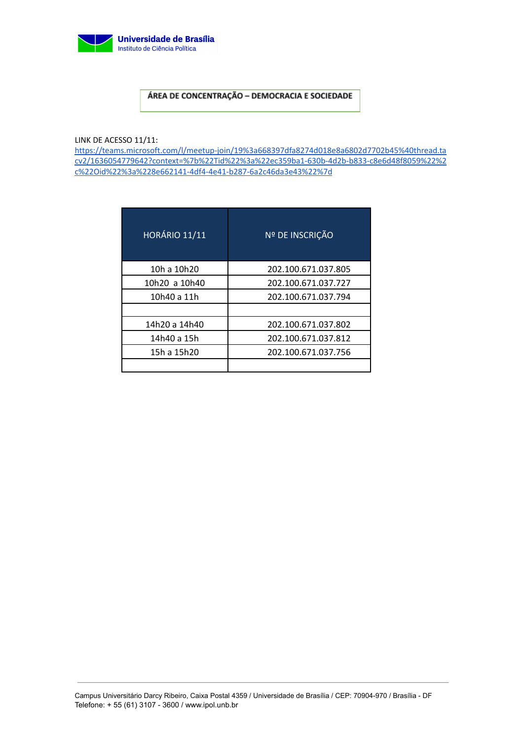

# ÁREA DE CONCENTRAÇÃO - DEMOCRACIA E SOCIEDADE

LINK DE ACESSO 11/11:

[https://teams.microsoft.com/l/meetup-join/19%3a668397dfa8274d018e8a6802d7702b45%40thread.ta](https://teams.microsoft.com/l/meetup-join/19%3a668397dfa8274d018e8a6802d7702b45%40thread.tacv2/1636054779642?context=%7b%22Tid%22%3a%22ec359ba1-630b-4d2b-b833-c8e6d48f8059%22%2c%22Oid%22%3a%228e662141-4df4-4e41-b287-6a2c46da3e43%22%7d) [cv2/1636054779642?context=%7b%22Tid%22%3a%22ec359ba1-630b-4d2b-b833-c8e6d48f8059%22%2](https://teams.microsoft.com/l/meetup-join/19%3a668397dfa8274d018e8a6802d7702b45%40thread.tacv2/1636054779642?context=%7b%22Tid%22%3a%22ec359ba1-630b-4d2b-b833-c8e6d48f8059%22%2c%22Oid%22%3a%228e662141-4df4-4e41-b287-6a2c46da3e43%22%7d) [c%22Oid%22%3a%228e662141-4df4-4e41-b287-6a2c46da3e43%22%7d](https://teams.microsoft.com/l/meetup-join/19%3a668397dfa8274d018e8a6802d7702b45%40thread.tacv2/1636054779642?context=%7b%22Tid%22%3a%22ec359ba1-630b-4d2b-b833-c8e6d48f8059%22%2c%22Oid%22%3a%228e662141-4df4-4e41-b287-6a2c46da3e43%22%7d)

| <b>HORÁRIO 11/11</b> | Nº DE INSCRIÇÃO     |
|----------------------|---------------------|
| 10h a 10h20          | 202.100.671.037.805 |
| 10h20 a 10h40        | 202.100.671.037.727 |
| 10h40 a 11h          | 202.100.671.037.794 |
|                      |                     |
| 14h20 a 14h40        | 202.100.671.037.802 |
| 14h40 a 15h          | 202.100.671.037.812 |
| 15h a 15h20          | 202.100.671.037.756 |
|                      |                     |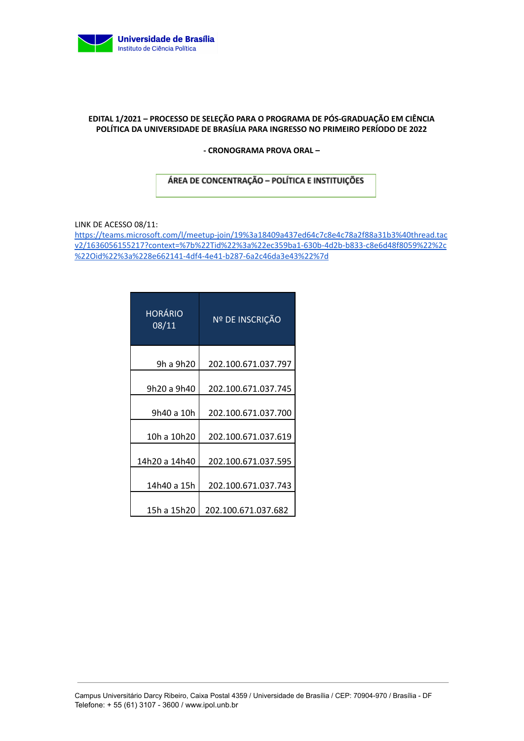

### **EDITAL 1/2021 – PROCESSO DE SELEÇÃO PARA O PROGRAMA DE PÓS-GRADUAÇÃO EM CIÊNCIA POLÍTICA DA UNIVERSIDADE DE BRASÍLIA PARA INGRESSO NO PRIMEIRO PERÍODO DE 2022**

**- CRONOGRAMA PROVA ORAL –**

## ÁREA DE CONCENTRAÇÃO - POLÍTICA E INSTITUIÇÕES

LINK DE ACESSO 08/11:

[https://teams.microsoft.com/l/meetup-join/19%3a18409a437ed64c7c8e4c78a2f88a31b3%40thread.tac](https://teams.microsoft.com/l/meetup-join/19%3a18409a437ed64c7c8e4c78a2f88a31b3%40thread.tacv2/1636056155217?context=%7b%22Tid%22%3a%22ec359ba1-630b-4d2b-b833-c8e6d48f8059%22%2c%22Oid%22%3a%228e662141-4df4-4e41-b287-6a2c46da3e43%22%7d) [v2/1636056155217?context=%7b%22Tid%22%3a%22ec359ba1-630b-4d2b-b833-c8e6d48f8059%22%2c](https://teams.microsoft.com/l/meetup-join/19%3a18409a437ed64c7c8e4c78a2f88a31b3%40thread.tacv2/1636056155217?context=%7b%22Tid%22%3a%22ec359ba1-630b-4d2b-b833-c8e6d48f8059%22%2c%22Oid%22%3a%228e662141-4df4-4e41-b287-6a2c46da3e43%22%7d) [%22Oid%22%3a%228e662141-4df4-4e41-b287-6a2c46da3e43%22%7d](https://teams.microsoft.com/l/meetup-join/19%3a18409a437ed64c7c8e4c78a2f88a31b3%40thread.tacv2/1636056155217?context=%7b%22Tid%22%3a%22ec359ba1-630b-4d2b-b833-c8e6d48f8059%22%2c%22Oid%22%3a%228e662141-4df4-4e41-b287-6a2c46da3e43%22%7d)

| <b>HORÁRIO</b><br>08/11 | Nº DE INSCRIÇÃO     |
|-------------------------|---------------------|
| 9h a 9h20               | 202.100.671.037.797 |
| 9h20 a 9h40             | 202.100.671.037.745 |
| 9h40 a 10h              | 202.100.671.037.700 |
| 10h a 10h20             | 202.100.671.037.619 |
| 14h20 a 14h40           | 202.100.671.037.595 |
| 14h40 a 15h             | 202.100.671.037.743 |
| 15h a 15h20             | 202.100.671.037.682 |